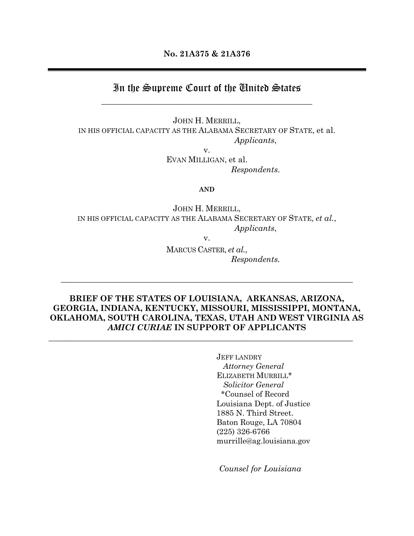**No. 21A375 & 21A376**

# In the Supreme Court of the United States \_\_\_\_\_\_\_\_\_\_\_\_\_\_\_\_\_\_\_\_\_\_\_\_\_\_\_\_\_\_\_\_\_\_\_\_\_\_\_\_\_\_\_\_\_\_\_\_\_\_\_\_

JOHN H. MERRILL, IN HIS OFFICIAL CAPACITY AS THE ALABAMA SECRETARY OF STATE, et al. *Applicants*,

v.

EVAN MILLIGAN, et al. *Respondents*.

**AND**

JOHN H. MERRILL, IN HIS OFFICIAL CAPACITY AS THE ALABAMA SECRETARY OF STATE, *et al.*, *Applicants*,

v.

MARCUS CASTER, *et al.*, *Respondents.*

### **BRIEF OF THE STATES OF LOUISIANA, ARKANSAS, ARIZONA, GEORGIA, INDIANA, KENTUCKY, MISSOURI, MISSISSIPPI, MONTANA, OKLAHOMA, SOUTH CAROLINA, TEXAS, UTAH AND WEST VIRGINIA AS**  *AMICI CURIAE* **IN SUPPORT OF APPLICANTS**

 $\_$  , and the set of the set of the set of the set of the set of the set of the set of the set of the set of the set of the set of the set of the set of the set of the set of the set of the set of the set of the set of th

 $\_$  , and the set of the set of the set of the set of the set of the set of the set of the set of the set of the set of the set of the set of the set of the set of the set of the set of the set of the set of the set of th

JEFF LANDRY *Attorney General* ELIZABETH MURRILL\* *Solicitor General* \*Counsel of Record Louisiana Dept. of Justice 1885 N. Third Street. Baton Rouge, LA 70804 (225) 326-6766 murrille@ag.louisiana.gov

*Counsel for Louisiana*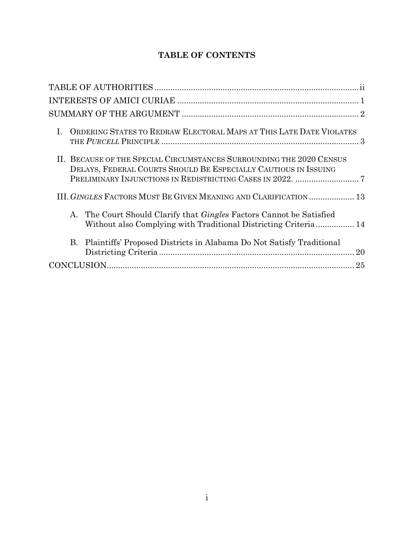## **TABLE OF CONTENTS**

| ORDERING STATES TO REDRAW ELECTORAL MAPS AT THIS LATE DATE VIOLATES<br>$\mathbf{L}$                                                               |    |
|---------------------------------------------------------------------------------------------------------------------------------------------------|----|
| II. BECAUSE OF THE SPECIAL CIRCUMSTANCES SURROUNDING THE 2020 CENSUS<br>DELAYS, FEDERAL COURTS SHOULD BE ESPECIALLY CAUTIOUS IN ISSUING           |    |
| III. GINGLES FACTORS MUST BE GIVEN MEANING AND CLARIFICATION  13                                                                                  |    |
| The Court Should Clarify that <i>Gingles</i> Factors Cannot be Satisfied<br>А.<br>Without also Complying with Traditional Districting Criteria 14 |    |
| B. Plaintiffs' Proposed Districts in Alabama Do Not Satisfy Traditional                                                                           | 20 |
|                                                                                                                                                   |    |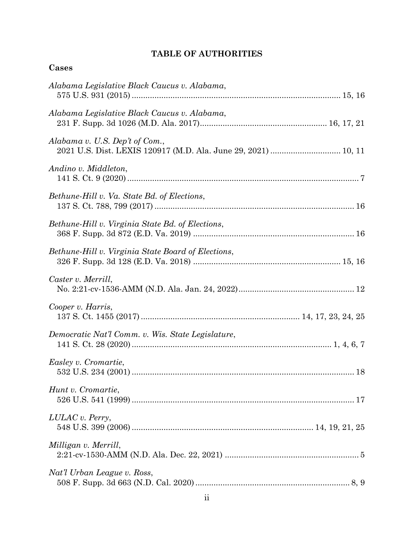## **TABLE OF AUTHORITIES**

<span id="page-2-0"></span>

| ase<br>. . |
|------------|
|------------|

| Alabama Legislative Black Caucus v. Alabama,       |  |
|----------------------------------------------------|--|
| Alabama Legislative Black Caucus v. Alabama,       |  |
| Alabama v. U.S. Dep't of Com.,                     |  |
| Andino v. Middleton,                               |  |
| Bethune-Hill v. Va. State Bd. of Elections,        |  |
| Bethune-Hill v. Virginia State Bd. of Elections,   |  |
| Bethune-Hill v. Virginia State Board of Elections, |  |
| Caster v. Merrill,                                 |  |
| Cooper v. Harris,                                  |  |
| Democratic Nat'l Comm. v. Wis. State Legislature,  |  |
| Easley v. Cromartie,                               |  |
| Hunt v. Cromartie,                                 |  |
| LULAC v. Perry,                                    |  |
| Milligan v. Merrill,                               |  |
| Nat'l Urban League v. Ross,                        |  |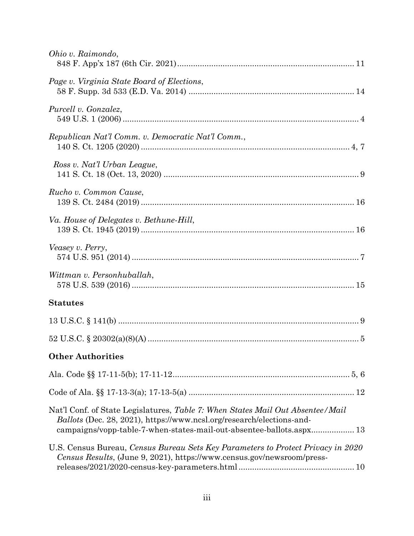| Ohio v. Raimondo,                                                                                                                                                                                                                      |
|----------------------------------------------------------------------------------------------------------------------------------------------------------------------------------------------------------------------------------------|
| Page v. Virginia State Board of Elections,                                                                                                                                                                                             |
| Purcell v. Gonzalez,                                                                                                                                                                                                                   |
| Republican Nat'l Comm. v. Democratic Nat'l Comm.,                                                                                                                                                                                      |
| Ross v. Nat'l Urban League,                                                                                                                                                                                                            |
| Rucho v. Common Cause,                                                                                                                                                                                                                 |
| Va. House of Delegates v. Bethune-Hill,                                                                                                                                                                                                |
| Veasey v. Perry,                                                                                                                                                                                                                       |
| Wittman v. Personhuballah,                                                                                                                                                                                                             |
| <b>Statutes</b>                                                                                                                                                                                                                        |
|                                                                                                                                                                                                                                        |
|                                                                                                                                                                                                                                        |
| <b>Other Authorities</b>                                                                                                                                                                                                               |
|                                                                                                                                                                                                                                        |
|                                                                                                                                                                                                                                        |
| Nat'l Conf. of State Legislatures, Table 7: When States Mail Out Absentee/Mail<br><i>Ballots</i> (Dec. 28, 2021), https://www.ncsl.org/research/elections-and-<br>campaigns/vopp-table-7-when-states-mail-out-absentee-ballots.aspx 13 |
| U.S. Census Bureau, Census Bureau Sets Key Parameters to Protect Privacy in 2020<br>Census Results, (June 9, 2021), https://www.census.gov/newsroom/press-                                                                             |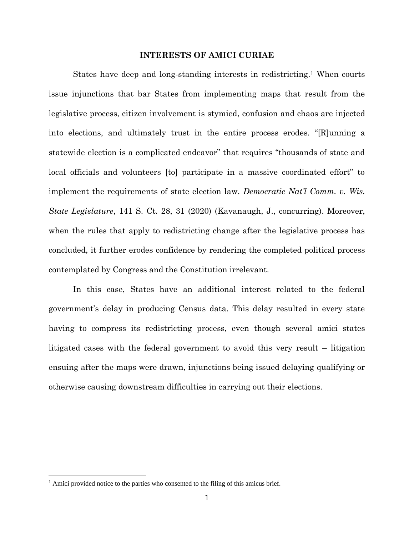#### **INTERESTS OF AMICI CURIAE**

<span id="page-4-0"></span>States have deep and long-standing interests in redistricting.<sup>1</sup> When courts issue injunctions that bar States from implementing maps that result from the legislative process, citizen involvement is stymied, confusion and chaos are injected into elections, and ultimately trust in the entire process erodes. "[R]unning a statewide election is a complicated endeavor" that requires "thousands of state and local officials and volunteers [to] participate in a massive coordinated effort" to implement the requirements of state election law. *Democratic Nat'l Comm. v. Wis. State Legislature*, 141 S. Ct. 28, 31 (2020) (Kavanaugh, J., concurring). Moreover, when the rules that apply to redistricting change after the legislative process has concluded, it further erodes confidence by rendering the completed political process contemplated by Congress and the Constitution irrelevant.

In this case, States have an additional interest related to the federal government's delay in producing Census data. This delay resulted in every state having to compress its redistricting process, even though several amici states litigated cases with the federal government to avoid this very result – litigation ensuing after the maps were drawn, injunctions being issued delaying qualifying or otherwise causing downstream difficulties in carrying out their elections.

<sup>&</sup>lt;sup>1</sup> Amici provided notice to the parties who consented to the filing of this amicus brief.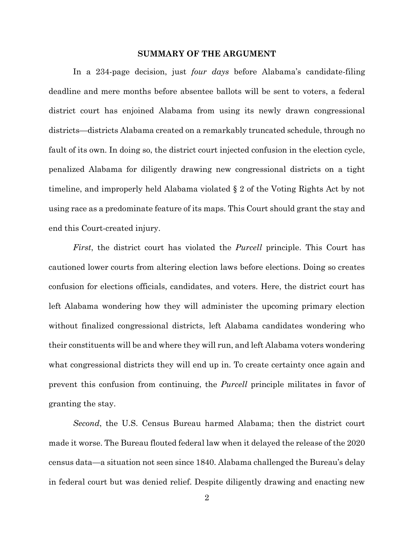#### **SUMMARY OF THE ARGUMENT**

<span id="page-5-0"></span>In a 234-page decision, just *four days* before Alabama's candidate-filing deadline and mere months before absentee ballots will be sent to voters, a federal district court has enjoined Alabama from using its newly drawn congressional districts—districts Alabama created on a remarkably truncated schedule, through no fault of its own. In doing so, the district court injected confusion in the election cycle, penalized Alabama for diligently drawing new congressional districts on a tight timeline, and improperly held Alabama violated § 2 of the Voting Rights Act by not using race as a predominate feature of its maps. This Court should grant the stay and end this Court-created injury.

*First*, the district court has violated the *Purcell* principle. This Court has cautioned lower courts from altering election laws before elections. Doing so creates confusion for elections officials, candidates, and voters. Here, the district court has left Alabama wondering how they will administer the upcoming primary election without finalized congressional districts, left Alabama candidates wondering who their constituents will be and where they will run, and left Alabama voters wondering what congressional districts they will end up in. To create certainty once again and prevent this confusion from continuing, the *Purcell* principle militates in favor of granting the stay.

*Second*, the U.S. Census Bureau harmed Alabama; then the district court made it worse. The Bureau flouted federal law when it delayed the release of the 2020 census data—a situation not seen since 1840. Alabama challenged the Bureau's delay in federal court but was denied relief. Despite diligently drawing and enacting new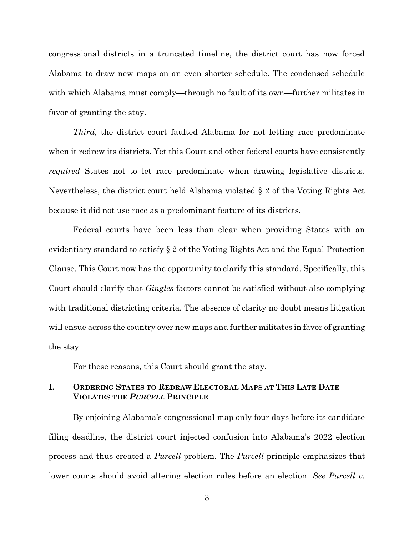congressional districts in a truncated timeline, the district court has now forced Alabama to draw new maps on an even shorter schedule. The condensed schedule with which Alabama must comply—through no fault of its own—further militates in favor of granting the stay.

*Third*, the district court faulted Alabama for not letting race predominate when it redrew its districts. Yet this Court and other federal courts have consistently *required* States not to let race predominate when drawing legislative districts. Nevertheless, the district court held Alabama violated § 2 of the Voting Rights Act because it did not use race as a predominant feature of its districts.

Federal courts have been less than clear when providing States with an evidentiary standard to satisfy § 2 of the Voting Rights Act and the Equal Protection Clause. This Court now has the opportunity to clarify this standard. Specifically, this Court should clarify that *Gingles* factors cannot be satisfied without also complying with traditional districting criteria. The absence of clarity no doubt means litigation will ensue across the country over new maps and further militates in favor of granting the stay

For these reasons, this Court should grant the stay.

### <span id="page-6-0"></span>**I. ORDERING STATES TO REDRAW ELECTORAL MAPS AT THIS LATE DATE VIOLATES THE** *PURCELL* **PRINCIPLE**

By enjoining Alabama's congressional map only four days before its candidate filing deadline, the district court injected confusion into Alabama's 2022 election process and thus created a *Purcell* problem. The *Purcell* principle emphasizes that lower courts should avoid altering election rules before an election. *See Purcell v.* 

3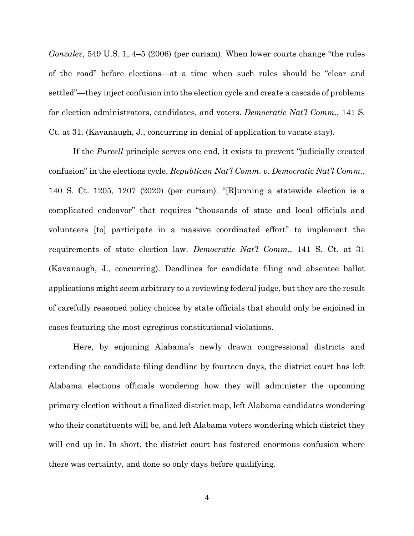*Gonzalez*, 549 U.S. 1, 4–5 (2006) (per curiam). When lower courts change "the rules of the road" before elections—at a time when such rules should be "clear and settled"—they inject confusion into the election cycle and create a cascade of problems for election administrators, candidates, and voters. *Democratic Nat'l Comm.*, 141 S. Ct. at 31. (Kavanaugh, J., concurring in denial of application to vacate stay).

If the *Purcell* principle serves one end, it exists to prevent "judicially created confusion" in the elections cycle. *Republican Nat'l Comm. v. Democratic Nat'l Comm.*, 140 S. Ct. 1205, 1207 (2020) (per curiam). "[R]unning a statewide election is a complicated endeavor" that requires "thousands of state and local officials and volunteers [to] participate in a massive coordinated effort" to implement the requirements of state election law. *Democratic Nat'l Comm.*, 141 S. Ct. at 31 (Kavanaugh, J., concurring). Deadlines for candidate filing and absentee ballot applications might seem arbitrary to a reviewing federal judge, but they are the result of carefully reasoned policy choices by state officials that should only be enjoined in cases featuring the most egregious constitutional violations.

Here, by enjoining Alabama's newly drawn congressional districts and extending the candidate filing deadline by fourteen days, the district court has left Alabama elections officials wondering how they will administer the upcoming primary election without a finalized district map, left Alabama candidates wondering who their constituents will be, and left Alabama voters wondering which district they will end up in. In short, the district court has fostered enormous confusion where there was certainty, and done so only days before qualifying.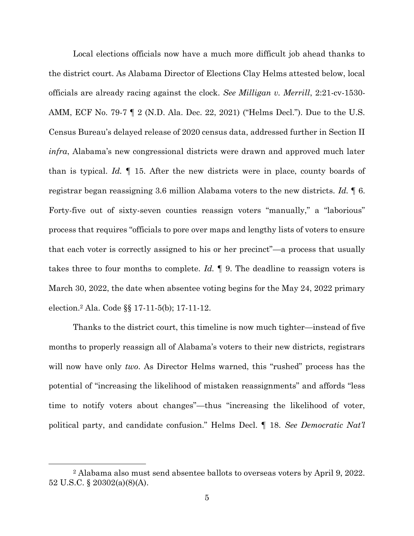Local elections officials now have a much more difficult job ahead thanks to the district court. As Alabama Director of Elections Clay Helms attested below, local officials are already racing against the clock. *See Milligan v. Merrill*, 2:21-cv-1530- AMM, ECF No. 79-7 ¶ 2 (N.D. Ala. Dec. 22, 2021) ("Helms Decl."). Due to the U.S. Census Bureau's delayed release of 2020 census data, addressed further in Section II *infra*, Alabama's new congressional districts were drawn and approved much later than is typical. *Id.* ¶ 15. After the new districts were in place, county boards of registrar began reassigning 3.6 million Alabama voters to the new districts. *Id.* ¶ 6. Forty-five out of sixty-seven counties reassign voters "manually," a "laborious" process that requires "officials to pore over maps and lengthy lists of voters to ensure that each voter is correctly assigned to his or her precinct"—a process that usually takes three to four months to complete. *Id.* ¶ 9. The deadline to reassign voters is March 30, 2022, the date when absentee voting begins for the May 24, 2022 primary election.<sup>2</sup> Ala. Code §§ 17-11-5(b); 17-11-12.

Thanks to the district court, this timeline is now much tighter—instead of five months to properly reassign all of Alabama's voters to their new districts, registrars will now have only *two*. As Director Helms warned, this "rushed" process has the potential of "increasing the likelihood of mistaken reassignments" and affords "less time to notify voters about changes"—thus "increasing the likelihood of voter, political party, and candidate confusion." Helms Decl. ¶ 18. *See Democratic Nat'l* 

<sup>2</sup> Alabama also must send absentee ballots to overseas voters by April 9, 2022. 52 U.S.C. § 20302(a)(8)(A).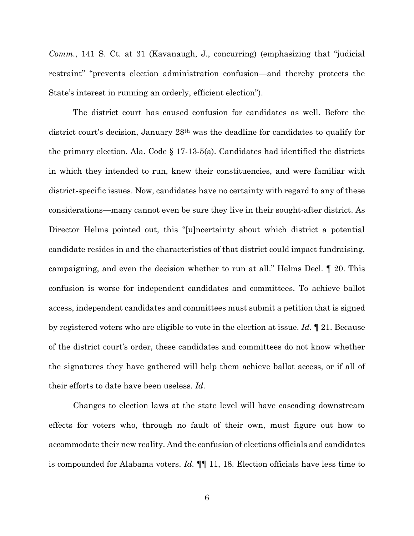*Comm.*, 141 S. Ct. at 31 (Kavanaugh, J., concurring) (emphasizing that "judicial restraint" "prevents election administration confusion—and thereby protects the State's interest in running an orderly, efficient election").

The district court has caused confusion for candidates as well. Before the district court's decision, January 28th was the deadline for candidates to qualify for the primary election. Ala. Code  $\S 17-13-5(a)$ . Candidates had identified the districts in which they intended to run, knew their constituencies, and were familiar with district-specific issues. Now, candidates have no certainty with regard to any of these considerations—many cannot even be sure they live in their sought-after district. As Director Helms pointed out, this "[u]ncertainty about which district a potential candidate resides in and the characteristics of that district could impact fundraising, campaigning, and even the decision whether to run at all." Helms Decl. ¶ 20. This confusion is worse for independent candidates and committees. To achieve ballot access, independent candidates and committees must submit a petition that is signed by registered voters who are eligible to vote in the election at issue. *Id.* ¶ 21. Because of the district court's order, these candidates and committees do not know whether the signatures they have gathered will help them achieve ballot access, or if all of their efforts to date have been useless. *Id.* 

Changes to election laws at the state level will have cascading downstream effects for voters who, through no fault of their own, must figure out how to accommodate their new reality. And the confusion of elections officials and candidates is compounded for Alabama voters. *Id.* ¶¶ 11, 18. Election officials have less time to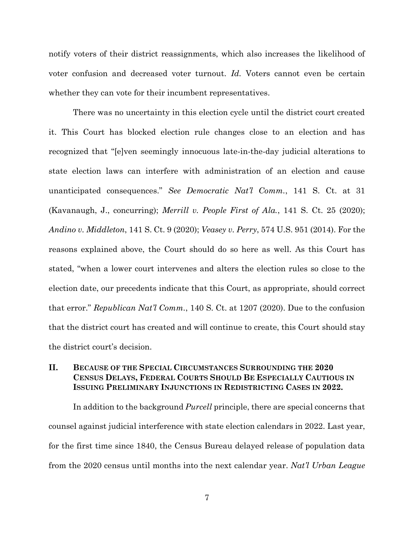notify voters of their district reassignments, which also increases the likelihood of voter confusion and decreased voter turnout. *Id.* Voters cannot even be certain whether they can vote for their incumbent representatives.

There was no uncertainty in this election cycle until the district court created it. This Court has blocked election rule changes close to an election and has recognized that "[e]ven seemingly innocuous late-in-the-day judicial alterations to state election laws can interfere with administration of an election and cause unanticipated consequences." *See Democratic Nat'l Comm.*, 141 S. Ct. at 31 (Kavanaugh, J., concurring); *Merrill v. People First of Ala.*, 141 S. Ct. 25 (2020); *Andino v. Middleton*, 141 S. Ct. 9 (2020); *Veasey v. Perry*, 574 U.S. 951 (2014). For the reasons explained above, the Court should do so here as well. As this Court has stated, "when a lower court intervenes and alters the election rules so close to the election date, our precedents indicate that this Court, as appropriate, should correct that error." *Republican Nat'l Comm.*, 140 S. Ct. at 1207 (2020). Due to the confusion that the district court has created and will continue to create, this Court should stay the district court's decision.

### <span id="page-10-0"></span>**II. BECAUSE OF THE SPECIAL CIRCUMSTANCES SURROUNDING THE 2020 CENSUS DELAYS, FEDERAL COURTS SHOULD BE ESPECIALLY CAUTIOUS IN ISSUING PRELIMINARY INJUNCTIONS IN REDISTRICTING CASES IN 2022.**

In addition to the background *Purcell* principle, there are special concerns that counsel against judicial interference with state election calendars in 2022. Last year, for the first time since 1840, the Census Bureau delayed release of population data from the 2020 census until months into the next calendar year. *Nat'l Urban League*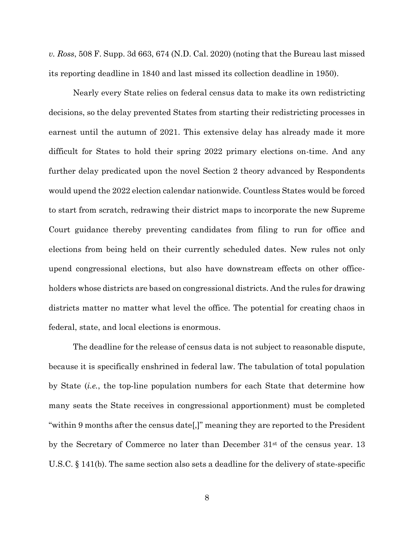*v. Ross*, 508 F. Supp. 3d 663, 674 (N.D. Cal. 2020) (noting that the Bureau last missed its reporting deadline in 1840 and last missed its collection deadline in 1950).

Nearly every State relies on federal census data to make its own redistricting decisions, so the delay prevented States from starting their redistricting processes in earnest until the autumn of 2021. This extensive delay has already made it more difficult for States to hold their spring 2022 primary elections on-time. And any further delay predicated upon the novel Section 2 theory advanced by Respondents would upend the 2022 election calendar nationwide. Countless States would be forced to start from scratch, redrawing their district maps to incorporate the new Supreme Court guidance thereby preventing candidates from filing to run for office and elections from being held on their currently scheduled dates. New rules not only upend congressional elections, but also have downstream effects on other officeholders whose districts are based on congressional districts. And the rules for drawing districts matter no matter what level the office. The potential for creating chaos in federal, state, and local elections is enormous.

The deadline for the release of census data is not subject to reasonable dispute, because it is specifically enshrined in federal law. The tabulation of total population by State (*i.e.*, the top-line population numbers for each State that determine how many seats the State receives in congressional apportionment) must be completed "within 9 months after the census date[,]" meaning they are reported to the President by the Secretary of Commerce no later than December 31st of the census year. 13 U.S.C. § 141(b). The same section also sets a deadline for the delivery of state-specific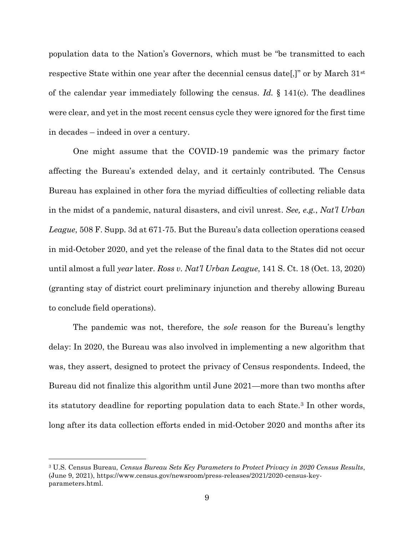population data to the Nation's Governors, which must be "be transmitted to each respective State within one year after the decennial census date[,]" or by March 31st of the calendar year immediately following the census. *Id.* § 141(c). The deadlines were clear, and yet in the most recent census cycle they were ignored for the first time in decades – indeed in over a century.

One might assume that the COVID-19 pandemic was the primary factor affecting the Bureau's extended delay, and it certainly contributed. The Census Bureau has explained in other fora the myriad difficulties of collecting reliable data in the midst of a pandemic, natural disasters, and civil unrest. *See, e.g.*, *Nat'l Urban League*, 508 F. Supp. 3d at 671-75. But the Bureau's data collection operations ceased in mid-October 2020, and yet the release of the final data to the States did not occur until almost a full *year* later. *Ross v. Nat'l Urban League*, 141 S. Ct. 18 (Oct. 13, 2020) (granting stay of district court preliminary injunction and thereby allowing Bureau to conclude field operations).

The pandemic was not, therefore, the *sole* reason for the Bureau's lengthy delay: In 2020, the Bureau was also involved in implementing a new algorithm that was, they assert, designed to protect the privacy of Census respondents. Indeed, the Bureau did not finalize this algorithm until June 2021—more than two months after its statutory deadline for reporting population data to each State.<sup>3</sup> In other words, long after its data collection efforts ended in mid-October 2020 and months after its

<sup>3</sup> U.S. Census Bureau, *Census Bureau Sets Key Parameters to Protect Privacy in 2020 Census Results*, (June 9, 2021), https://www.census.gov/newsroom/press-releases/2021/2020-census-keyparameters.html.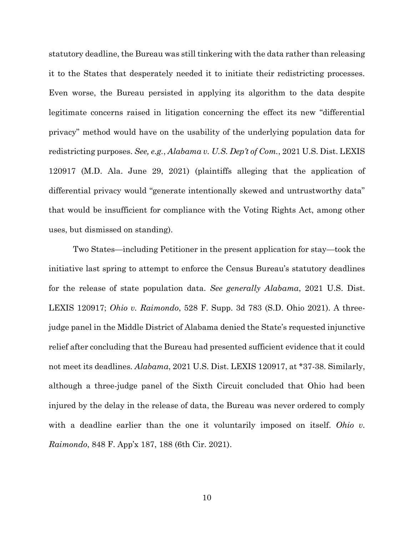statutory deadline, the Bureau was still tinkering with the data rather than releasing it to the States that desperately needed it to initiate their redistricting processes. Even worse, the Bureau persisted in applying its algorithm to the data despite legitimate concerns raised in litigation concerning the effect its new "differential privacy" method would have on the usability of the underlying population data for redistricting purposes. *See, e.g.*, *Alabama v. U.S. Dep't of Com.*, 2021 U.S. Dist. LEXIS 120917 (M.D. Ala. June 29, 2021) (plaintiffs alleging that the application of differential privacy would "generate intentionally skewed and untrustworthy data" that would be insufficient for compliance with the Voting Rights Act, among other uses, but dismissed on standing).

Two States—including Petitioner in the present application for stay—took the initiative last spring to attempt to enforce the Census Bureau's statutory deadlines for the release of state population data. *See generally Alabama*, 2021 U.S. Dist. LEXIS 120917; *Ohio v. Raimondo*, 528 F. Supp. 3d 783 (S.D. Ohio 2021). A threejudge panel in the Middle District of Alabama denied the State's requested injunctive relief after concluding that the Bureau had presented sufficient evidence that it could not meet its deadlines. *Alabama*, 2021 U.S. Dist. LEXIS 120917, at \*37-38. Similarly, although a three-judge panel of the Sixth Circuit concluded that Ohio had been injured by the delay in the release of data, the Bureau was never ordered to comply with a deadline earlier than the one it voluntarily imposed on itself. *Ohio v. Raimondo*, 848 F. App'x 187, 188 (6th Cir. 2021).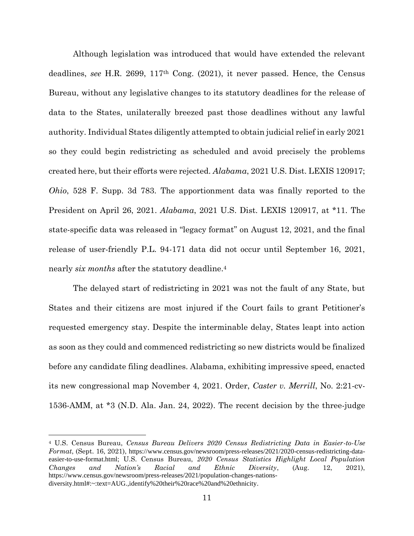Although legislation was introduced that would have extended the relevant deadlines, *see* H.R. 2699, 117th Cong. (2021), it never passed. Hence, the Census Bureau, without any legislative changes to its statutory deadlines for the release of data to the States, unilaterally breezed past those deadlines without any lawful authority. Individual States diligently attempted to obtain judicial relief in early 2021 so they could begin redistricting as scheduled and avoid precisely the problems created here, but their efforts were rejected. *Alabama*, 2021 U.S. Dist. LEXIS 120917; *Ohio*, 528 F. Supp. 3d 783. The apportionment data was finally reported to the President on April 26, 2021. *Alabama*, 2021 U.S. Dist. LEXIS 120917, at \*11. The state-specific data was released in "legacy format" on August 12, 2021, and the final release of user-friendly P.L. 94-171 data did not occur until September 16, 2021, nearly *six months* after the statutory deadline.<sup>4</sup>

The delayed start of redistricting in 2021 was not the fault of any State, but States and their citizens are most injured if the Court fails to grant Petitioner's requested emergency stay. Despite the interminable delay, States leapt into action as soon as they could and commenced redistricting so new districts would be finalized before any candidate filing deadlines. Alabama, exhibiting impressive speed, enacted its new congressional map November 4, 2021. Order, *Caster v. Merrill*, No. 2:21-cv-1536-AMM, at \*3 (N.D. Ala. Jan. 24, 2022). The recent decision by the three-judge

<sup>4</sup> U.S. Census Bureau, *Census Bureau Delivers 2020 Census Redistricting Data in Easier-to-Use Format*, (Sept. 16, 2021), https://www.census.gov/newsroom/press-releases/2021/2020-census-redistricting-dataeasier-to-use-format.html; U.S. Census Bureau, *2020 Census Statistics Highlight Local Population Changes and Nation's Racial and Ethnic Diversity*, (Aug. 12, 2021), https://www.census.gov/newsroom/press-releases/2021/population-changes-nationsdiversity.html#:~:text=AUG.,identify%20their%20race%20and%20ethnicity.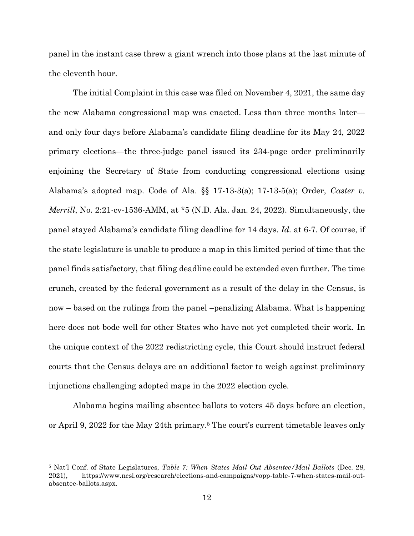panel in the instant case threw a giant wrench into those plans at the last minute of the eleventh hour.

The initial Complaint in this case was filed on November 4, 2021, the same day the new Alabama congressional map was enacted. Less than three months later and only four days before Alabama's candidate filing deadline for its May 24, 2022 primary elections—the three-judge panel issued its 234-page order preliminarily enjoining the Secretary of State from conducting congressional elections using Alabama's adopted map. Code of Ala. §§ 17-13-3(a); 17-13-5(a); Order, *Caster v. Merrill*, No. 2:21-cv-1536-AMM, at \*5 (N.D. Ala. Jan. 24, 2022). Simultaneously, the panel stayed Alabama's candidate filing deadline for 14 days. *Id.* at 6-7. Of course, if the state legislature is unable to produce a map in this limited period of time that the panel finds satisfactory, that filing deadline could be extended even further. The time crunch, created by the federal government as a result of the delay in the Census, is now – based on the rulings from the panel –penalizing Alabama. What is happening here does not bode well for other States who have not yet completed their work. In the unique context of the 2022 redistricting cycle, this Court should instruct federal courts that the Census delays are an additional factor to weigh against preliminary injunctions challenging adopted maps in the 2022 election cycle.

Alabama begins mailing absentee ballots to voters 45 days before an election, or April 9, 2022 for the May 24th primary.<sup>5</sup> The court's current timetable leaves only

<sup>5</sup> Nat'l Conf. of State Legislatures, *Table 7: When States Mail Out Absentee/Mail Ballots* (Dec. 28, 2021), https://www.ncsl.org/research/elections-and-campaigns/vopp-table-7-when-states-mail-outabsentee-ballots.aspx.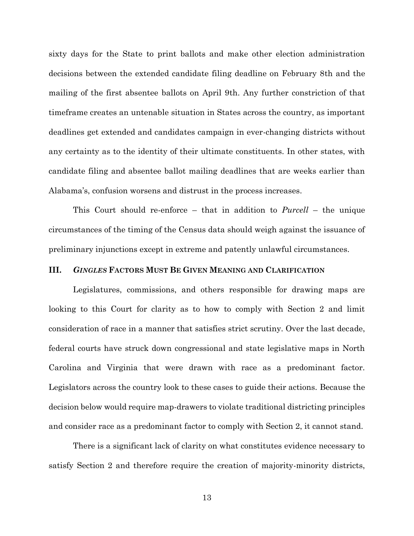sixty days for the State to print ballots and make other election administration decisions between the extended candidate filing deadline on February 8th and the mailing of the first absentee ballots on April 9th. Any further constriction of that timeframe creates an untenable situation in States across the country, as important deadlines get extended and candidates campaign in ever-changing districts without any certainty as to the identity of their ultimate constituents. In other states, with candidate filing and absentee ballot mailing deadlines that are weeks earlier than Alabama's, confusion worsens and distrust in the process increases.

This Court should re-enforce – that in addition to *Purcell* – the unique circumstances of the timing of the Census data should weigh against the issuance of preliminary injunctions except in extreme and patently unlawful circumstances.

#### <span id="page-16-0"></span>**III.** *GINGLES* **FACTORS MUST BE GIVEN MEANING AND CLARIFICATION**

Legislatures, commissions, and others responsible for drawing maps are looking to this Court for clarity as to how to comply with Section 2 and limit consideration of race in a manner that satisfies strict scrutiny. Over the last decade, federal courts have struck down congressional and state legislative maps in North Carolina and Virginia that were drawn with race as a predominant factor. Legislators across the country look to these cases to guide their actions. Because the decision below would require map-drawers to violate traditional districting principles and consider race as a predominant factor to comply with Section 2, it cannot stand.

There is a significant lack of clarity on what constitutes evidence necessary to satisfy Section 2 and therefore require the creation of majority-minority districts,

13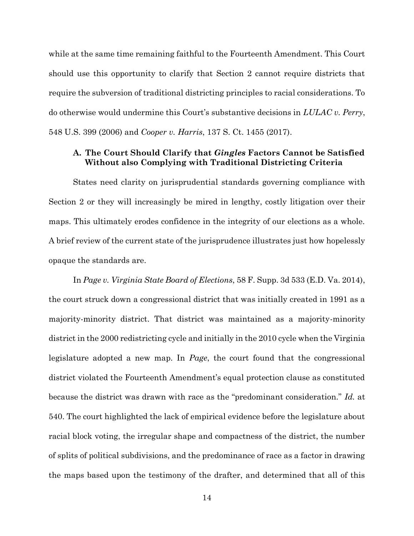while at the same time remaining faithful to the Fourteenth Amendment. This Court should use this opportunity to clarify that Section 2 cannot require districts that require the subversion of traditional districting principles to racial considerations. To do otherwise would undermine this Court's substantive decisions in *LULAC v. Perry*, 548 U.S. 399 (2006) and *Cooper v. Harris*, 137 S. Ct. 1455 (2017).

### <span id="page-17-0"></span>**A. The Court Should Clarify that** *Gingles* **Factors Cannot be Satisfied Without also Complying with Traditional Districting Criteria**

States need clarity on jurisprudential standards governing compliance with Section 2 or they will increasingly be mired in lengthy, costly litigation over their maps. This ultimately erodes confidence in the integrity of our elections as a whole. A brief review of the current state of the jurisprudence illustrates just how hopelessly opaque the standards are.

In *Page v. Virginia State Board of Elections*, 58 F. Supp. 3d 533 (E.D. Va. 2014), the court struck down a congressional district that was initially created in 1991 as a majority-minority district. That district was maintained as a majority-minority district in the 2000 redistricting cycle and initially in the 2010 cycle when the Virginia legislature adopted a new map. In *Page*, the court found that the congressional district violated the Fourteenth Amendment's equal protection clause as constituted because the district was drawn with race as the "predominant consideration." *Id.* at 540. The court highlighted the lack of empirical evidence before the legislature about racial block voting, the irregular shape and compactness of the district, the number of splits of political subdivisions, and the predominance of race as a factor in drawing the maps based upon the testimony of the drafter, and determined that all of this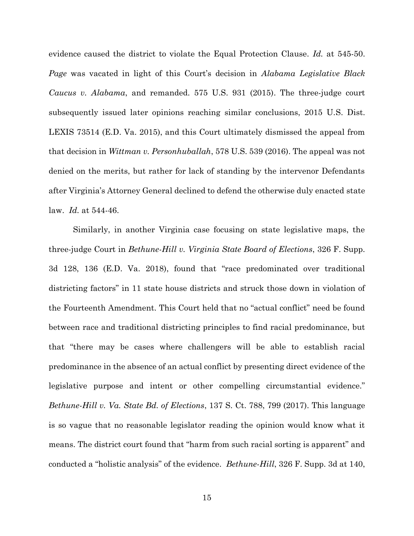evidence caused the district to violate the Equal Protection Clause. *Id.* at 545-50. *Page* was vacated in light of this Court's decision in *Alabama Legislative Black Caucus v. Alabama*, and remanded. 575 U.S. 931 (2015). The three-judge court subsequently issued later opinions reaching similar conclusions, 2015 U.S. Dist. LEXIS 73514 (E.D. Va. 2015), and this Court ultimately dismissed the appeal from that decision in *Wittman v. Personhuballah*, 578 U.S. 539 (2016). The appeal was not denied on the merits, but rather for lack of standing by the intervenor Defendants after Virginia's Attorney General declined to defend the otherwise duly enacted state law. *Id.* at 544-46.

Similarly, in another Virginia case focusing on state legislative maps, the three-judge Court in *Bethune-Hill v. Virginia State Board of Elections*, 326 F. Supp. 3d 128, 136 (E.D. Va. 2018), found that "race predominated over traditional districting factors" in 11 state house districts and struck those down in violation of the Fourteenth Amendment. This Court held that no "actual conflict" need be found between race and traditional districting principles to find racial predominance, but that "there may be cases where challengers will be able to establish racial predominance in the absence of an actual conflict by presenting direct evidence of the legislative purpose and intent or other compelling circumstantial evidence." *Bethune-Hill v. Va. State Bd. of Elections*, 137 S. Ct. 788, 799 (2017). This language is so vague that no reasonable legislator reading the opinion would know what it means. The district court found that "harm from such racial sorting is apparent" and conducted a "holistic analysis" of the evidence. *Bethune-Hill*, 326 F. Supp. 3d at 140,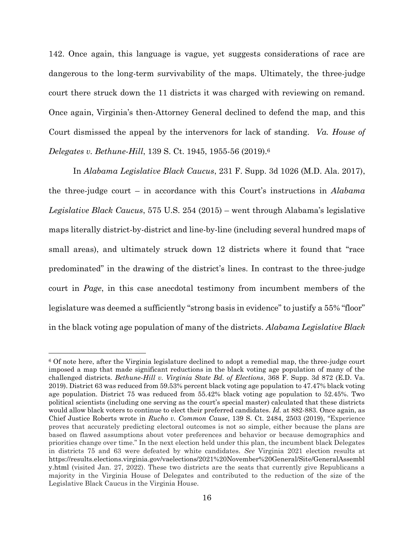142. Once again, this language is vague, yet suggests considerations of race are dangerous to the long-term survivability of the maps. Ultimately, the three-judge court there struck down the 11 districts it was charged with reviewing on remand. Once again, Virginia's then-Attorney General declined to defend the map, and this Court dismissed the appeal by the intervenors for lack of standing. *Va. House of Delegates v. Bethune-Hill*, 139 S. Ct. 1945, 1955-56 (2019). 6

In *Alabama Legislative Black Caucus*, 231 F. Supp. 3d 1026 (M.D. Ala. 2017), the three-judge court – in accordance with this Court's instructions in *Alabama Legislative Black Caucus*, 575 U.S. 254 (2015) – went through Alabama's legislative maps literally district-by-district and line-by-line (including several hundred maps of small areas), and ultimately struck down 12 districts where it found that "race predominated" in the drawing of the district's lines. In contrast to the three-judge court in *Page*, in this case anecdotal testimony from incumbent members of the legislature was deemed a sufficiently "strong basis in evidence" to justify a 55% "floor" in the black voting age population of many of the districts. *Alabama Legislative Black* 

<sup>6</sup> Of note here, after the Virginia legislature declined to adopt a remedial map, the three-judge court imposed a map that made significant reductions in the black voting age population of many of the challenged districts. *Bethune-Hill v. Virginia State Bd. of Elections*, 368 F. Supp. 3d 872 (E.D. Va. 2019). District 63 was reduced from 59.53% percent black voting age population to 47.47% black voting age population. District 75 was reduced from 55.42% black voting age population to 52.45%. Two political scientists (including one serving as the court's special master) calculated that these districts would allow black voters to continue to elect their preferred candidates. *Id.* at 882-883. Once again, as Chief Justice Roberts wrote in *Rucho v. Common Cause*, 139 S. Ct. 2484, 2503 (2019), "Experience proves that accurately predicting electoral outcomes is not so simple, either because the plans are based on flawed assumptions about voter preferences and behavior or because demographics and priorities change over time." In the next election held under this plan, the incumbent black Delegates in districts 75 and 63 were defeated by white candidates. *See* Virginia 2021 election results at https://results.elections.virginia.gov/vaelections/2021%20November%20General/Site/GeneralAssembl y.html (visited Jan. 27, 2022). These two districts are the seats that currently give Republicans a majority in the Virginia House of Delegates and contributed to the reduction of the size of the Legislative Black Caucus in the Virginia House.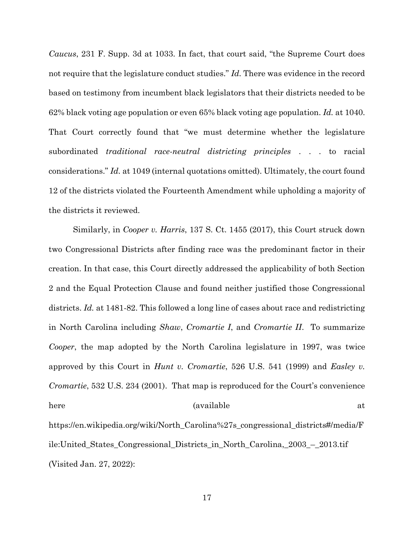*Caucus*, 231 F. Supp. 3d at 1033. In fact, that court said, "the Supreme Court does not require that the legislature conduct studies." *Id.* There was evidence in the record based on testimony from incumbent black legislators that their districts needed to be 62% black voting age population or even 65% black voting age population. *Id.* at 1040. That Court correctly found that "we must determine whether the legislature subordinated *traditional race-neutral districting principles* . . . to racial considerations." *Id.* at 1049 (internal quotations omitted). Ultimately, the court found 12 of the districts violated the Fourteenth Amendment while upholding a majority of the districts it reviewed.

Similarly, in *Cooper v. Harris*, 137 S. Ct. 1455 (2017), this Court struck down two Congressional Districts after finding race was the predominant factor in their creation. In that case, this Court directly addressed the applicability of both Section 2 and the Equal Protection Clause and found neither justified those Congressional districts. *Id.* at 1481-82. This followed a long line of cases about race and redistricting in North Carolina including *Shaw*, *Cromartie I*, and *Cromartie II*. To summarize *Cooper*, the map adopted by the North Carolina legislature in 1997, was twice approved by this Court in *Hunt v. Cromartie*, 526 U.S. 541 (1999) and *Easley v. Cromartie*, 532 U.S. 234 (2001). That map is reproduced for the Court's convenience here (available at https://en.wikipedia.org/wiki/North\_Carolina%27s\_congressional\_districts#/media/F ile:United\_States\_Congressional\_Districts\_in\_North\_Carolina,\_2003\_–\_2013.tif

(Visited Jan. 27, 2022):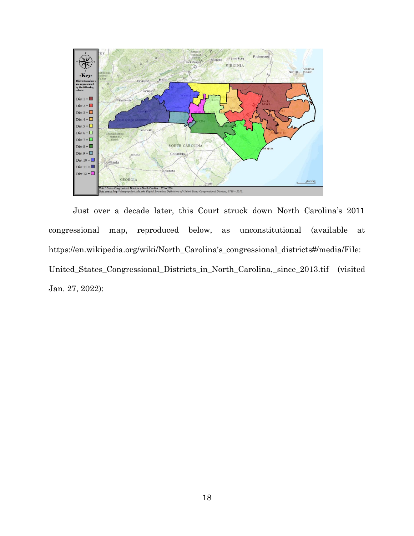

Just over a decade later, this Court struck down North Carolina's 2011 congressional map, reproduced below, as unconstitutional (available at https://en.wikipedia.org/wiki/North\_Carolina's\_congressional\_districts#/media/File: United\_States\_Congressional\_Districts\_in\_North\_Carolina,\_since\_2013.tif (visited Jan. 27, 2022):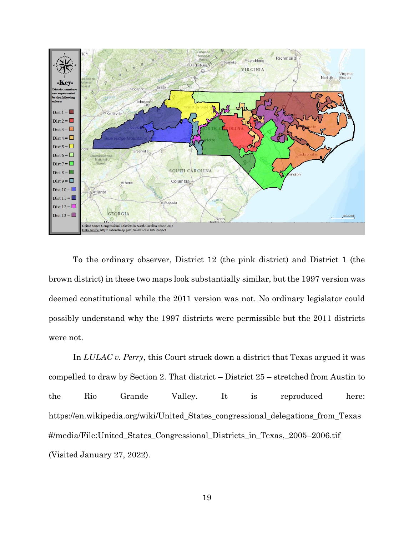

To the ordinary observer, District 12 (the pink district) and District 1 (the brown district) in these two maps look substantially similar, but the 1997 version was deemed constitutional while the 2011 version was not. No ordinary legislator could possibly understand why the 1997 districts were permissible but the 2011 districts were not.

In *LULAC v. Perry*, this Court struck down a district that Texas argued it was compelled to draw by Section 2. That district – District 25 – stretched from Austin to the Rio Grande Valley. It is reproduced here: https://en.wikipedia.org/wiki/United\_States\_congressional\_delegations\_from\_Texas #/media/File:United\_States\_Congressional\_Districts\_in\_Texas,\_2005–2006.tif (Visited January 27, 2022).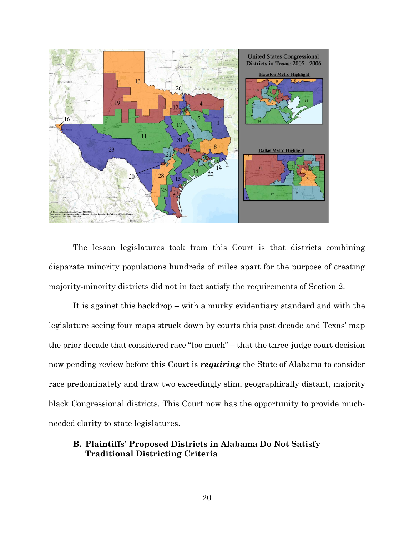

The lesson legislatures took from this Court is that districts combining disparate minority populations hundreds of miles apart for the purpose of creating majority-minority districts did not in fact satisfy the requirements of Section 2.

It is against this backdrop – with a murky evidentiary standard and with the legislature seeing four maps struck down by courts this past decade and Texas' map the prior decade that considered race "too much" – that the three-judge court decision now pending review before this Court is *requiring* the State of Alabama to consider race predominately and draw two exceedingly slim, geographically distant, majority black Congressional districts. This Court now has the opportunity to provide muchneeded clarity to state legislatures.

## <span id="page-23-0"></span>**B. Plaintiffs' Proposed Districts in Alabama Do Not Satisfy Traditional Districting Criteria**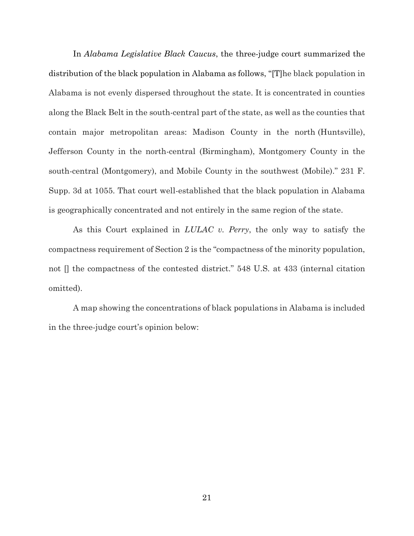In *Alabama Legislative Black Caucus*, the three-judge court summarized the distribution of the black population in Alabama as follows, "[T]he black population in Alabama is not evenly dispersed throughout the state. It is concentrated in counties along the Black Belt in the south-central part of the state, as well as the counties that contain major metropolitan areas: Madison County in the north (Huntsville), Jefferson County in the north-central (Birmingham), Montgomery County in the south-central (Montgomery), and Mobile County in the southwest (Mobile)." 231 F. Supp. 3d at 1055. That court well-established that the black population in Alabama is geographically concentrated and not entirely in the same region of the state.

As this Court explained in *LULAC v. Perry*, the only way to satisfy the compactness requirement of Section 2 is the "compactness of the minority population, not [] the compactness of the contested district." 548 U.S. at 433 (internal citation omitted).

A map showing the concentrations of black populations in Alabama is included in the three-judge court's opinion below: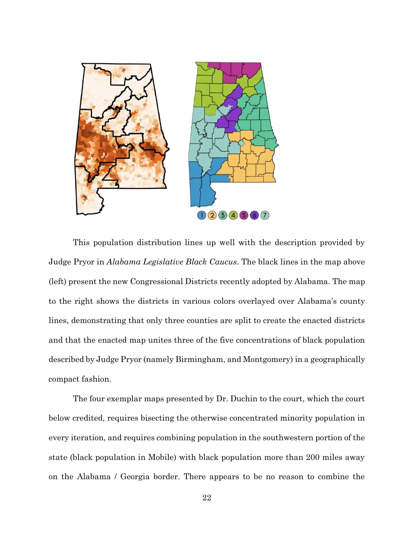

This population distribution lines up well with the description provided by Judge Pryor in *Alabama Legislative Black Caucus*. The black lines in the map above (left) present the new Congressional Districts recently adopted by Alabama. The map to the right shows the districts in various colors overlayed over Alabama's county lines, demonstrating that only three counties are split to create the enacted districts and that the enacted map unites three of the five concentrations of black population described by Judge Pryor (namely Birmingham, and Montgomery) in a geographically compact fashion.

The four exemplar maps presented by Dr. Duchin to the court, which the court below credited, requires bisecting the otherwise concentrated minority population in every iteration, and requires combining population in the southwestern portion of the state (black population in Mobile) with black population more than 200 miles away on the Alabama / Georgia border. There appears to be no reason to combine the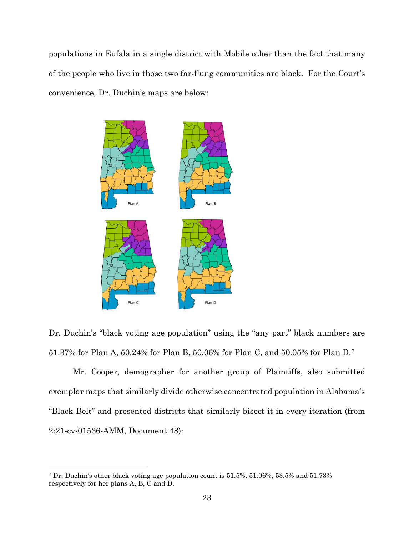populations in Eufala in a single district with Mobile other than the fact that many of the people who live in those two far-flung communities are black. For the Court's convenience, Dr. Duchin's maps are below:



Dr. Duchin's "black voting age population" using the "any part" black numbers are 51.37% for Plan A, 50.24% for Plan B, 50.06% for Plan C, and 50.05% for Plan D.<sup>7</sup>

Mr. Cooper, demographer for another group of Plaintiffs, also submitted exemplar maps that similarly divide otherwise concentrated population in Alabama's "Black Belt" and presented districts that similarly bisect it in every iteration (from 2:21-cv-01536-AMM, Document 48):

<sup>7</sup> Dr. Duchin's other black voting age population count is 51.5%, 51.06%, 53.5% and 51.73% respectively for her plans A, B, C and D.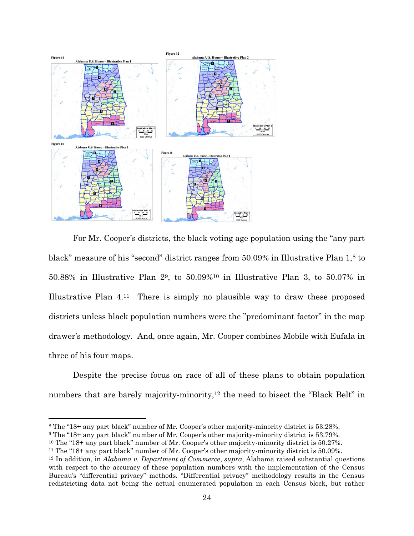

For Mr. Cooper's districts, the black voting age population using the "any part black" measure of his "second" district ranges from 50.09% in Illustrative Plan 1,<sup>8</sup> to 50.88% in Illustrative Plan 29, to 50.09%<sup>10</sup> in Illustrative Plan 3, to 50.07% in Illustrative Plan 4.11 There is simply no plausible way to draw these proposed districts unless black population numbers were the "predominant factor" in the map drawer's methodology. And, once again, Mr. Cooper combines Mobile with Eufala in three of his four maps.

Despite the precise focus on race of all of these plans to obtain population numbers that are barely majority-minority,<sup>12</sup> the need to bisect the "Black Belt" in

<sup>8</sup> The "18+ any part black" number of Mr. Cooper's other majority-minority district is 53.28%.

<sup>9</sup> The "18+ any part black" number of Mr. Cooper's other majority-minority district is 53.79%.

<sup>10</sup> The "18+ any part black" number of Mr. Cooper's other majority-minority district is 50.27%.

<sup>11</sup> The "18+ any part black" number of Mr. Cooper's other majority-minority district is 50.09%.

<sup>12</sup> In addition, in *Alabama v. Department of Commerce*, *supra*, Alabama raised substantial questions with respect to the accuracy of these population numbers with the implementation of the Census Bureau's "differential privacy" methods. "Differential privacy" methodology results in the Census redistricting data not being the actual enumerated population in each Census block, but rather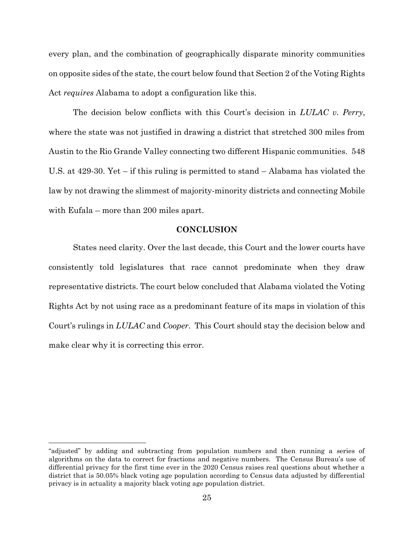every plan, and the combination of geographically disparate minority communities on opposite sides of the state, the court below found that Section 2 of the Voting Rights Act *requires* Alabama to adopt a configuration like this.

The decision below conflicts with this Court's decision in *LULAC v. Perry*, where the state was not justified in drawing a district that stretched 300 miles from Austin to the Rio Grande Valley connecting two different Hispanic communities. 548 U.S. at 429-30. Yet – if this ruling is permitted to stand – Alabama has violated the law by not drawing the slimmest of majority-minority districts and connecting Mobile with Eufala – more than 200 miles apart.

#### **CONCLUSION**

<span id="page-28-0"></span>States need clarity. Over the last decade, this Court and the lower courts have consistently told legislatures that race cannot predominate when they draw representative districts. The court below concluded that Alabama violated the Voting Rights Act by not using race as a predominant feature of its maps in violation of this Court's rulings in *LULAC* and *Cooper*. This Court should stay the decision below and make clear why it is correcting this error.

<sup>&</sup>quot;adjusted" by adding and subtracting from population numbers and then running a series of algorithms on the data to correct for fractions and negative numbers. The Census Bureau's use of differential privacy for the first time ever in the 2020 Census raises real questions about whether a district that is 50.05% black voting age population according to Census data adjusted by differential privacy is in actuality a majority black voting age population district.